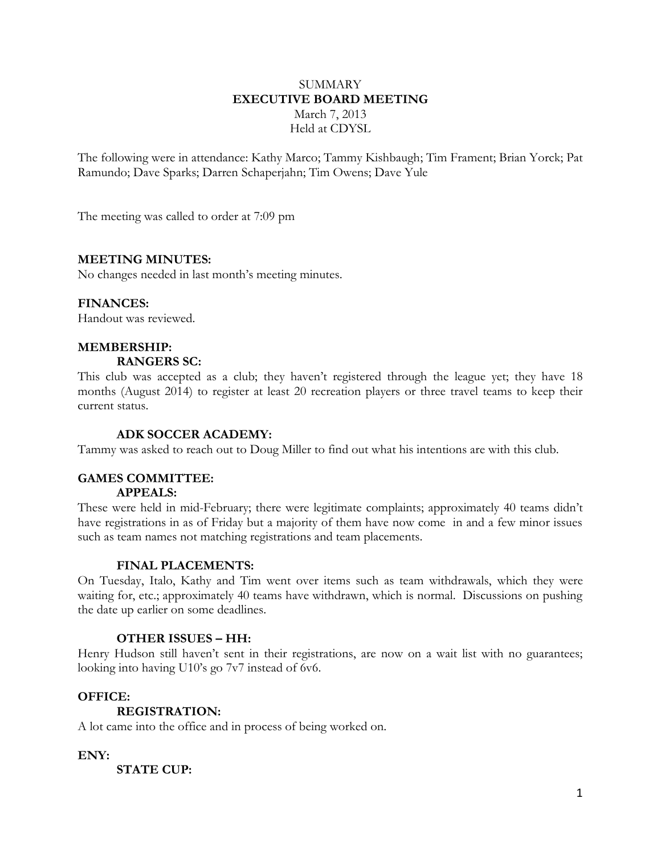## **SUMMARY EXECUTIVE BOARD MEETING** March 7, 2013 Held at CDYSL

The following were in attendance: Kathy Marco; Tammy Kishbaugh; Tim Frament; Brian Yorck; Pat Ramundo; Dave Sparks; Darren Schaperjahn; Tim Owens; Dave Yule

The meeting was called to order at 7:09 pm

### **MEETING MINUTES:**

No changes needed in last month's meeting minutes.

### **FINANCES:**

Handout was reviewed.

# **MEMBERSHIP:**

## **RANGERS SC:**

This club was accepted as a club; they haven't registered through the league yet; they have 18 months (August 2014) to register at least 20 recreation players or three travel teams to keep their current status.

#### **ADK SOCCER ACADEMY:**

Tammy was asked to reach out to Doug Miller to find out what his intentions are with this club.

#### **GAMES COMMITTEE: APPEALS:**

These were held in mid-February; there were legitimate complaints; approximately 40 teams didn't have registrations in as of Friday but a majority of them have now come in and a few minor issues such as team names not matching registrations and team placements.

#### **FINAL PLACEMENTS:**

On Tuesday, Italo, Kathy and Tim went over items such as team withdrawals, which they were waiting for, etc.; approximately 40 teams have withdrawn, which is normal. Discussions on pushing the date up earlier on some deadlines.

## **OTHER ISSUES – HH:**

Henry Hudson still haven't sent in their registrations, are now on a wait list with no guarantees; looking into having U10's go 7v7 instead of 6v6.

## **OFFICE:**

#### **REGISTRATION:**

A lot came into the office and in process of being worked on.

**ENY:**

**STATE CUP:**